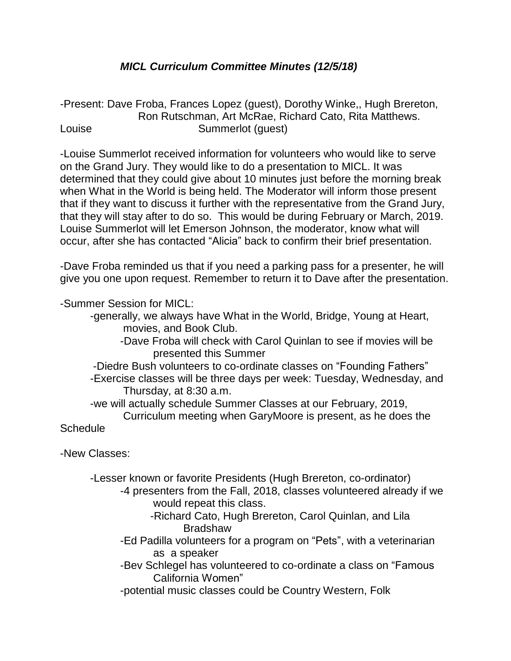## *MICL Curriculum Committee Minutes (12/5/18)*

-Present: Dave Froba, Frances Lopez (guest), Dorothy Winke,, Hugh Brereton, Ron Rutschman, Art McRae, Richard Cato, Rita Matthews. Louise **Summerlot** (quest)

-Louise Summerlot received information for volunteers who would like to serve on the Grand Jury. They would like to do a presentation to MICL. It was determined that they could give about 10 minutes just before the morning break when What in the World is being held. The Moderator will inform those present that if they want to discuss it further with the representative from the Grand Jury, that they will stay after to do so. This would be during February or March, 2019. Louise Summerlot will let Emerson Johnson, the moderator, know what will occur, after she has contacted "Alicia" back to confirm their brief presentation.

-Dave Froba reminded us that if you need a parking pass for a presenter, he will give you one upon request. Remember to return it to Dave after the presentation.

-Summer Session for MICL:

-generally, we always have What in the World, Bridge, Young at Heart, movies, and Book Club.

- -Dave Froba will check with Carol Quinlan to see if movies will be presented this Summer
- -Diedre Bush volunteers to co-ordinate classes on "Founding Fathers" -Exercise classes will be three days per week: Tuesday, Wednesday, and Thursday, at 8:30 a.m.

-we will actually schedule Summer Classes at our February, 2019,

Curriculum meeting when GaryMoore is present, as he does the **Schedule** 

-New Classes:

-Lesser known or favorite Presidents (Hugh Brereton, co-ordinator)

- -4 presenters from the Fall, 2018, classes volunteered already if we would repeat this class.
	- -Richard Cato, Hugh Brereton, Carol Quinlan, and Lila Bradshaw
- -Ed Padilla volunteers for a program on "Pets", with a veterinarian as a speaker
- -Bev Schlegel has volunteered to co-ordinate a class on "Famous California Women"

-potential music classes could be Country Western, Folk